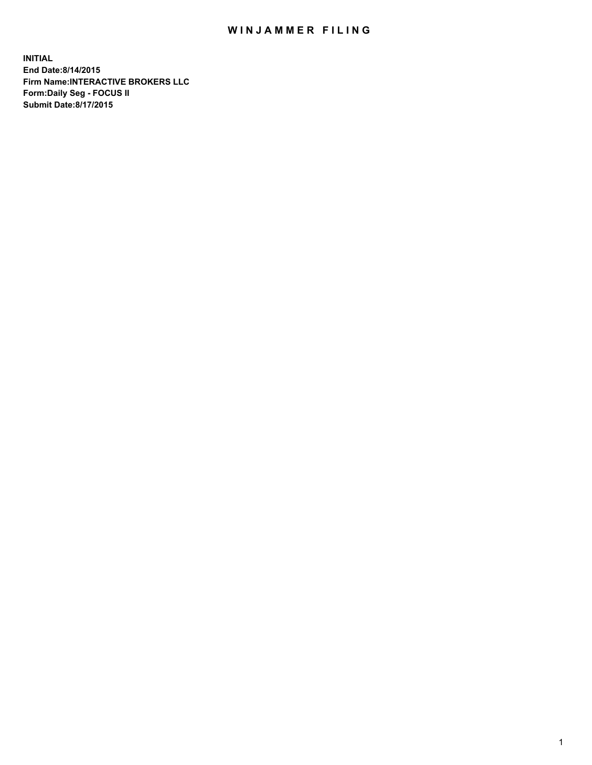## WIN JAMMER FILING

**INITIAL End Date:8/14/2015 Firm Name:INTERACTIVE BROKERS LLC Form:Daily Seg - FOCUS II Submit Date:8/17/2015**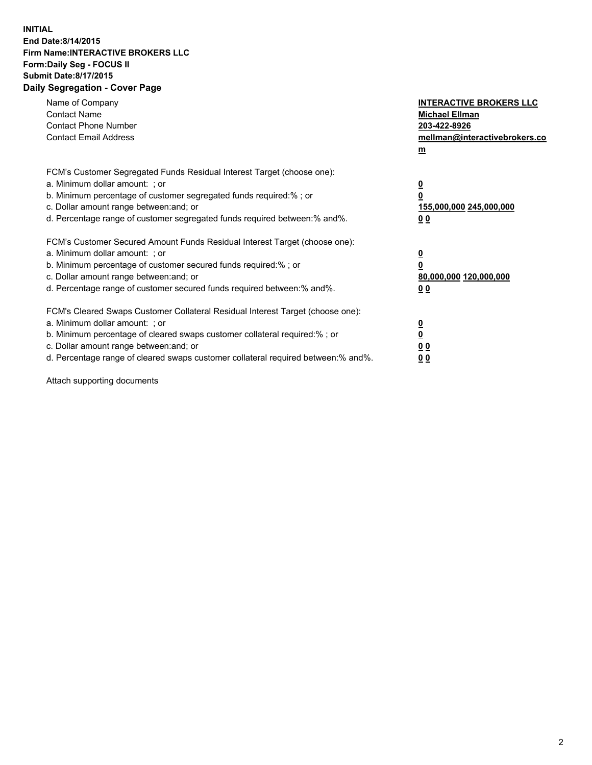## **INITIAL End Date:8/14/2015 Firm Name:INTERACTIVE BROKERS LLC Form:Daily Seg - FOCUS II Submit Date:8/17/2015 Daily Segregation - Cover Page**

| Name of Company<br><b>Contact Name</b><br><b>Contact Phone Number</b><br><b>Contact Email Address</b>                                                                                                                                                                                                                          | <b>INTERACTIVE BROKERS LLC</b><br><b>Michael Ellman</b><br>203-422-8926<br>mellman@interactivebrokers.co<br>$m$ |
|--------------------------------------------------------------------------------------------------------------------------------------------------------------------------------------------------------------------------------------------------------------------------------------------------------------------------------|-----------------------------------------------------------------------------------------------------------------|
| FCM's Customer Segregated Funds Residual Interest Target (choose one):<br>a. Minimum dollar amount: ; or<br>b. Minimum percentage of customer segregated funds required:% ; or<br>c. Dollar amount range between: and; or<br>d. Percentage range of customer segregated funds required between: % and %.                       | $\overline{\mathbf{0}}$<br>0<br>155,000,000 245,000,000<br>00                                                   |
| FCM's Customer Secured Amount Funds Residual Interest Target (choose one):<br>a. Minimum dollar amount: ; or<br>b. Minimum percentage of customer secured funds required:%; or<br>c. Dollar amount range between: and; or<br>d. Percentage range of customer secured funds required between: % and %.                          | $\overline{\mathbf{0}}$<br>0<br>80,000,000 120,000,000<br>0 <sub>0</sub>                                        |
| FCM's Cleared Swaps Customer Collateral Residual Interest Target (choose one):<br>a. Minimum dollar amount: ; or<br>b. Minimum percentage of cleared swaps customer collateral required:% ; or<br>c. Dollar amount range between: and; or<br>d. Percentage range of cleared swaps customer collateral required between:% and%. | $\overline{\mathbf{0}}$<br>$\underline{\mathbf{0}}$<br>0 <sub>0</sub><br>0 <sub>0</sub>                         |

Attach supporting documents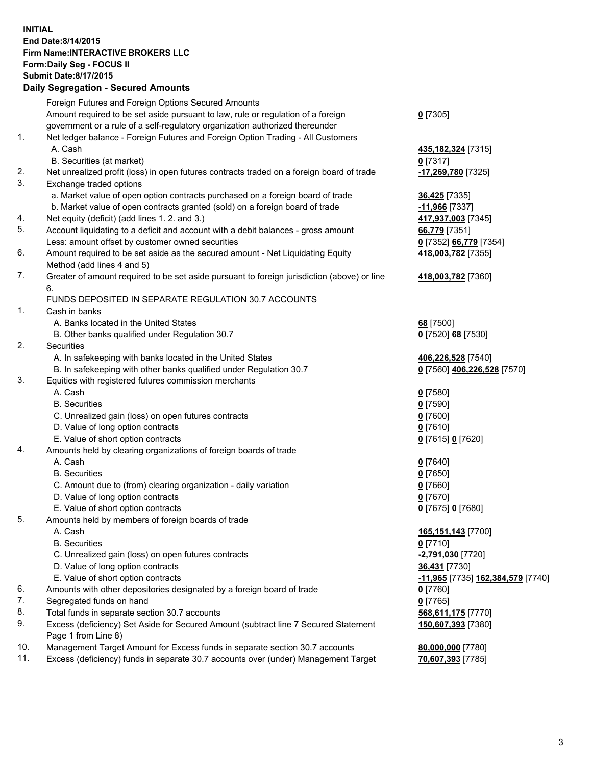## **INITIAL End Date:8/14/2015 Firm Name:INTERACTIVE BROKERS LLC Form:Daily Seg - FOCUS II Submit Date:8/17/2015 Daily Segregation - Secured Amounts**

|                | Dany Oogregation - Oecarea Amounts                                                          |                                   |
|----------------|---------------------------------------------------------------------------------------------|-----------------------------------|
|                | Foreign Futures and Foreign Options Secured Amounts                                         |                                   |
|                | Amount required to be set aside pursuant to law, rule or regulation of a foreign            | $0$ [7305]                        |
|                | government or a rule of a self-regulatory organization authorized thereunder                |                                   |
| 1.             | Net ledger balance - Foreign Futures and Foreign Option Trading - All Customers             |                                   |
|                | A. Cash                                                                                     | 435,182,324 [7315]                |
|                | B. Securities (at market)                                                                   | $0$ [7317]                        |
| 2.             | Net unrealized profit (loss) in open futures contracts traded on a foreign board of trade   | -17,269,780 [7325]                |
| 3.             | Exchange traded options                                                                     |                                   |
|                | a. Market value of open option contracts purchased on a foreign board of trade              | <b>36,425</b> [7335]              |
|                | b. Market value of open contracts granted (sold) on a foreign board of trade                | -11,966 [7337]                    |
| 4.             | Net equity (deficit) (add lines 1.2. and 3.)                                                | 417,937,003 [7345]                |
| 5.             | Account liquidating to a deficit and account with a debit balances - gross amount           | 66,779 [7351]                     |
|                | Less: amount offset by customer owned securities                                            | 0 [7352] 66,779 [7354]            |
| 6.             | Amount required to be set aside as the secured amount - Net Liquidating Equity              | 418,003,782 [7355]                |
|                | Method (add lines 4 and 5)                                                                  |                                   |
| 7.             | Greater of amount required to be set aside pursuant to foreign jurisdiction (above) or line | 418,003,782 [7360]                |
|                | 6.                                                                                          |                                   |
|                | FUNDS DEPOSITED IN SEPARATE REGULATION 30.7 ACCOUNTS                                        |                                   |
| $\mathbf{1}$ . | Cash in banks                                                                               |                                   |
|                | A. Banks located in the United States                                                       | 68 [7500]                         |
|                | B. Other banks qualified under Regulation 30.7                                              | 0 [7520] 68 [7530]                |
| 2.             | Securities                                                                                  |                                   |
|                | A. In safekeeping with banks located in the United States                                   | 406,226,528 [7540]                |
|                | B. In safekeeping with other banks qualified under Regulation 30.7                          | 0 [7560] 406,226,528 [7570]       |
| 3.             | Equities with registered futures commission merchants                                       |                                   |
|                | A. Cash                                                                                     | $0$ [7580]                        |
|                | <b>B.</b> Securities                                                                        | $0$ [7590]                        |
|                | C. Unrealized gain (loss) on open futures contracts                                         | $0$ [7600]                        |
|                | D. Value of long option contracts                                                           | $0$ [7610]                        |
|                | E. Value of short option contracts                                                          | 0 [7615] 0 [7620]                 |
| 4.             | Amounts held by clearing organizations of foreign boards of trade                           |                                   |
|                | A. Cash                                                                                     | $0$ [7640]                        |
|                | <b>B.</b> Securities                                                                        | $0$ [7650]                        |
|                | C. Amount due to (from) clearing organization - daily variation                             | $0$ [7660]                        |
|                | D. Value of long option contracts                                                           | $0$ [7670]                        |
|                | E. Value of short option contracts                                                          | 0 [7675] 0 [7680]                 |
| 5.             | Amounts held by members of foreign boards of trade                                          |                                   |
|                | A. Cash                                                                                     | 165,151,143 [7700]                |
|                | <b>B.</b> Securities                                                                        | $0$ [7710]                        |
|                | C. Unrealized gain (loss) on open futures contracts                                         | -2,791,030 [7720]                 |
|                | D. Value of long option contracts                                                           | 36,431 [7730]                     |
|                | E. Value of short option contracts                                                          | -11,965 [7735] 162,384,579 [7740] |
| 6.             | Amounts with other depositories designated by a foreign board of trade                      | 0 [7760]                          |
| 7.             | Segregated funds on hand                                                                    | $0$ [7765]                        |
| 8.             | Total funds in separate section 30.7 accounts                                               | 568,611,175 [7770]                |
| 9.             | Excess (deficiency) Set Aside for Secured Amount (subtract line 7 Secured Statement         | 150,607,393 [7380]                |
|                | Page 1 from Line 8)                                                                         |                                   |
| 10.            | Management Target Amount for Excess funds in separate section 30.7 accounts                 | 80,000,000 [7780]                 |
| 11.            | Excess (deficiency) funds in separate 30.7 accounts over (under) Management Target          | 70,607,393 [7785]                 |
|                |                                                                                             |                                   |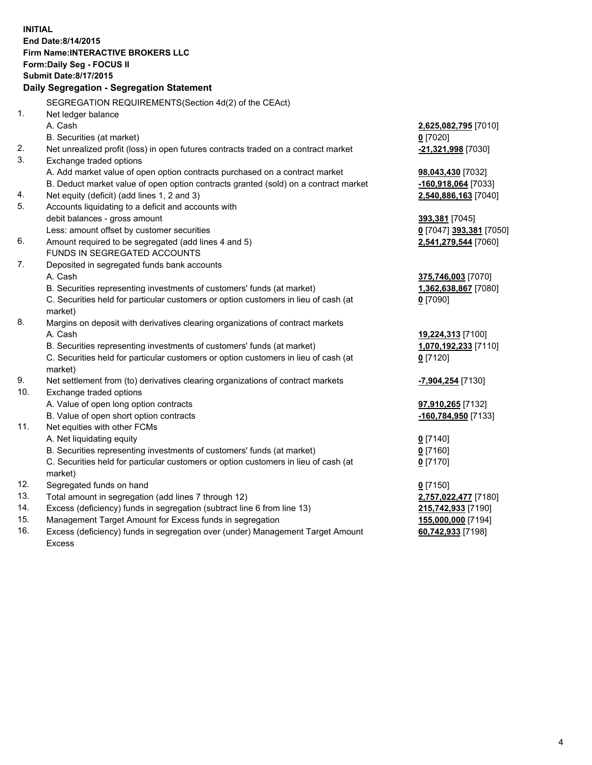**INITIAL End Date:8/14/2015 Firm Name:INTERACTIVE BROKERS LLC Form:Daily Seg - FOCUS II Submit Date:8/17/2015 Daily Segregation - Segregation Statement** SEGREGATION REQUIREMENTS(Section 4d(2) of the CEAct) 1. Net ledger balance A. Cash **2,625,082,795** [7010] B. Securities (at market) **0** [7020] 2. Net unrealized profit (loss) in open futures contracts traded on a contract market **-21,321,998** [7030] 3. Exchange traded options A. Add market value of open option contracts purchased on a contract market **98,043,430** [7032] B. Deduct market value of open option contracts granted (sold) on a contract market **-160,918,064** [7033] 4. Net equity (deficit) (add lines 1, 2 and 3) **2,540,886,163** [7040] 5. Accounts liquidating to a deficit and accounts with debit balances - gross amount **393,381** [7045] Less: amount offset by customer securities **0** [7047] **393,381** [7050] 6. Amount required to be segregated (add lines 4 and 5) **2,541,279,544** [7060] FUNDS IN SEGREGATED ACCOUNTS 7. Deposited in segregated funds bank accounts A. Cash **375,746,003** [7070] B. Securities representing investments of customers' funds (at market) **1,362,638,867** [7080] C. Securities held for particular customers or option customers in lieu of cash (at market) **0** [7090] 8. Margins on deposit with derivatives clearing organizations of contract markets A. Cash **19,224,313** [7100] B. Securities representing investments of customers' funds (at market) **1,070,192,233** [7110] C. Securities held for particular customers or option customers in lieu of cash (at market) **0** [7120] 9. Net settlement from (to) derivatives clearing organizations of contract markets **-7,904,254** [7130] 10. Exchange traded options A. Value of open long option contracts **97,910,265** [7132] B. Value of open short option contracts **-160,784,950** [7133] 11. Net equities with other FCMs A. Net liquidating equity **0** [7140] B. Securities representing investments of customers' funds (at market) **0** [7160] C. Securities held for particular customers or option customers in lieu of cash (at market) **0** [7170] 12. Segregated funds on hand **0** [7150] 13. Total amount in segregation (add lines 7 through 12) **2,757,022,477** [7180] 14. Excess (deficiency) funds in segregation (subtract line 6 from line 13) **215,742,933** [7190] 15. Management Target Amount for Excess funds in segregation **155,000,000** [7194] **60,742,933** [7198]

16. Excess (deficiency) funds in segregation over (under) Management Target Amount Excess